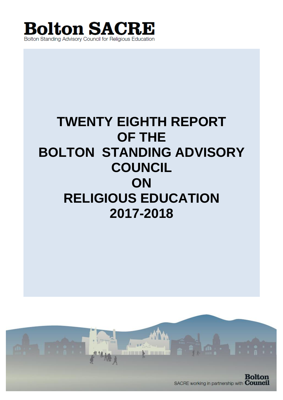

# **TWENTY EIGHTH REPORT OF THE BOLTON STANDING ADVISORY COUNCIL ON RELIGIOUS EDUCATION 2017-2018**

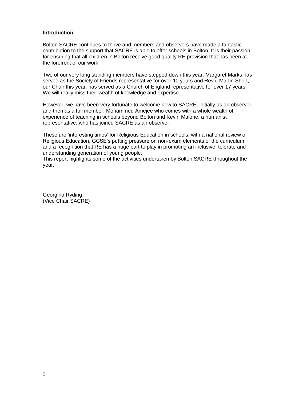#### **Introduction**

Bolton SACRE continues to thrive and members and observers have made a fantastic contribution to the support that SACRE is able to offer schools in Bolton. It is their passion for ensuring that all children in Bolton receive good quality RE provision that has been at the forefront of our work.

Two of our very long standing members have stepped down this year. Margaret Marks has served as the Society of Friends representative for over 10 years and Rev'd Martin Short, our Chair this year, has served as a Church of England representative for over 17 years. We will really miss their wealth of knowledge and expertise.

However, we have been very fortunate to welcome new to SACRE, initially as an observer and then as a full member, Mohammed Amejee who comes with a whole wealth of experience of teaching in schools beyond Bolton and Kevin Malone, a humanist representative, who has joined SACRE as an observer.

These are 'interesting times' for Religious Education in schools, with a national review of Religious Education, GCSE's putting pressure on non-exam elements of the curriculum and a recognition that RE has a huge part to play in promoting an inclusive, tolerate and understanding generation of young people.

This report highlights some of the activities undertaken by Bolton SACRE throughout the year.

Georgina Ryding (Vice Chair SACRE)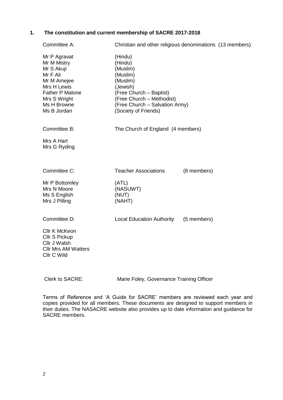#### **1. The constitution and current membership of SACRE 2017-2018**

| Committee A:                                                                                                                                                | Christian and other religious denominations (13 members)                                                                                                                             |             |  |  |  |  |
|-------------------------------------------------------------------------------------------------------------------------------------------------------------|--------------------------------------------------------------------------------------------------------------------------------------------------------------------------------------|-------------|--|--|--|--|
| Mr P Agravat<br>Mr M Mistry<br>Mr S Akuji<br>Mr F Ali<br>Mr M Amejee<br>Mrs H Lewis<br><b>Father P Malone</b><br>Mrs S Wright<br>Ms H Browne<br>Ms B Jordan | (Hindu)<br>(Hindu)<br>(Muslim)<br>(Muslim)<br>(Muslim)<br>(Jewish)<br>(Free Church - Baptist)<br>(Free Church - Methodist)<br>(Free Church - Salvation Army)<br>(Society of Friends) |             |  |  |  |  |
| Committee B:                                                                                                                                                | The Church of England (4 members)                                                                                                                                                    |             |  |  |  |  |
| Mrs A Hart<br>Mrs G Ryding                                                                                                                                  |                                                                                                                                                                                      |             |  |  |  |  |
| Committee C:                                                                                                                                                | <b>Teacher Associations</b>                                                                                                                                                          | (8 members) |  |  |  |  |
| Mr P Bottomley<br>Mrs N Moore<br>Ms S English<br>Mrs J Pilling                                                                                              | (ATL)<br>(NASUWT)<br>(NUT)<br>(NAHT)                                                                                                                                                 |             |  |  |  |  |
| Committee D:                                                                                                                                                | <b>Local Education Authority</b>                                                                                                                                                     | (5 members) |  |  |  |  |
| <b>Cllr K McKeon</b><br>Cllr S Pickup<br>Cllr J Walsh<br><b>Cllr Mrs AM Watters</b><br>Cllr C Wild                                                          |                                                                                                                                                                                      |             |  |  |  |  |

Clerk to SACRE: Marie Foley, Governance Training Officer

Terms of Reference and 'A Guide for SACRE' members are reviewed each year and copies provided for all members. These documents are designed to support members in their duties. The NASACRE website also provides up to date information and guidance for SACRE members.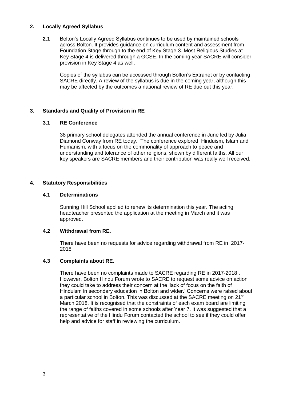## **2. Locally Agreed Syllabus**

**2.1** Bolton's Locally Agreed Syllabus continues to be used by maintained schools across Bolton. It provides guidance on curriculum content and assessment from Foundation Stage through to the end of Key Stage 3. Most Religious Studies at Key Stage 4 is delivered through a GCSE. In the coming year SACRE will consider provision in Key Stage 4 as well.

Copies of the syllabus can be accessed through Bolton's Extranet or by contacting SACRE directly. A review of the syllabus is due in the coming year, although this may be affected by the outcomes a national review of RE due out this year.

## **3. Standards and Quality of Provision in RE**

## **3.1 RE Conference**

38 primary school delegates attended the annual conference in June led by Julia Diamond Conway from RE today. The conference explored Hinduism, Islam and Humanism, with a focus on the commonality of approach to peace and understanding and tolerance of other religions, shown by different faiths. All our key speakers are SACRE members and their contribution was really well received.

## **4. Statutory Responsibilities**

## **4.1 Determinations**

Sunning Hill School applied to renew its determination this year. The acting headteacher presented the application at the meeting in March and it was approved.

### **4.2 Withdrawal from RE.**

There have been no requests for advice regarding withdrawal from RE in 2017- 2018

### **4.3 Complaints about RE.**

There have been no complaints made to SACRE regarding RE in 2017-2018 . However, Bolton Hindu Forum wrote to SACRE to request some advice on action they could take to address their concern at the 'lack of focus on the faith of Hinduism in secondary education in Bolton and wider.' Concerns were raised about a particular school in Bolton. This was discussed at the SACRE meeting on 21<sup>st</sup> March 2018. It is recognised that the constraints of each exam board are limiting the range of faiths covered in some schools after Year 7. It was suggested that a representative of the Hindu Forum contacted the school to see if they could offer help and advice for staff in reviewing the curriculum.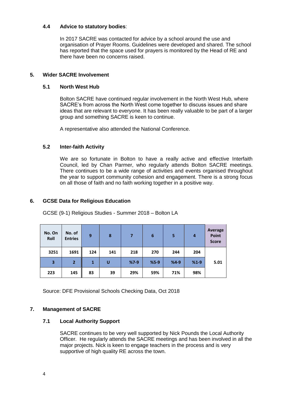## **4.4 Advice to statutory bodies**:

In 2017 SACRE was contacted for advice by a school around the use and organisation of Prayer Rooms. Guidelines were developed and shared. The school has reported that the space used for prayers is monitored by the Head of RE and there have been no concerns raised.

## **5. Wider SACRE Involvement**

### **5.1 North West Hub**

Bolton SACRE have continued regular involvement in the North West Hub, where SACRE's from across the North West come together to discuss issues and share ideas that are relevant to everyone. It has been really valuable to be part of a larger group and something SACRE is keen to continue.

A representative also attended the National Conference.

### **5.2 Inter-faith Activity**

We are so fortunate in Bolton to have a really active and effective Interfaith Council, led by Chan Parmer, who regularly attends Bolton SACRE meetings. There continues to be a wide range of activities and events organised throughout the year to support community cohesion and engagement. There is a strong focus on all those of faith and no faith working together in a positive way.

### **6. GCSE Data for Religious Education**

GCSE (9-1) Religious Studies - Summer 2018 – Bolton LA

| No. On<br>Roll | No. of<br><b>Entries</b> | 9   | 8   | $\overline{7}$ | 6      | 5      | $\overline{a}$ | <b>Average</b><br>Point<br><b>Score</b> |
|----------------|--------------------------|-----|-----|----------------|--------|--------|----------------|-----------------------------------------|
| 3251           | 1691                     | 124 | 141 | 218            | 270    | 244    | 204            |                                         |
| 3              | $\overline{2}$           | 1   | U   | $%7-9$         | $%5-9$ | $%4-9$ | $%1-9$         | 5.01                                    |
| 223            | 145                      | 83  | 39  | 29%            | 59%    | 71%    | 98%            |                                         |

Source: DFE Provisional Schools Checking Data, Oct 2018

### **7. Management of SACRE**

### **7.1 Local Authority Support**

SACRE continues to be very well supported by Nick Pounds the Local Authority Officer. He regularly attends the SACRE meetings and has been involved in all the major projects. Nick is keen to engage teachers in the process and is very supportive of high quality RE across the town.